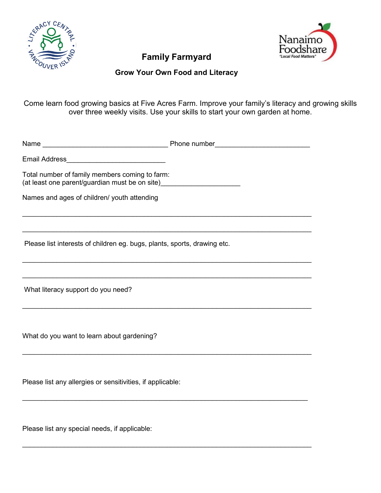



# **Family Farmyard**

## **Grow Your Own Food and Literacy**

Come learn food growing basics at Five Acres Farm. Improve your family's literacy and growing skills over three weekly visits. Use your skills to start your own garden at home.

Name **Name Name Example 1** and the *Phone number* **Phone number** Email Address\_\_\_\_\_\_\_\_\_\_\_\_\_\_\_\_\_\_\_\_\_\_\_\_\_\_ Total number of family members coming to farm: (at least one parent/guardian must be on site)\_\_\_\_\_\_\_\_\_\_\_\_\_\_\_\_\_\_\_\_\_\_\_\_\_\_\_\_\_\_\_\_\_\_ Names and ages of children/ youth attending  $\mathcal{L}_\text{max}$  , and the contribution of the contribution of the contribution of the contribution of the contribution of the contribution of the contribution of the contribution of the contribution of the contribution of t  $\mathcal{L}_\text{max}$  , and the contribution of the contribution of the contribution of the contribution of the contribution of the contribution of the contribution of the contribution of the contribution of the contribution of t Please list interests of children eg. bugs, plants, sports, drawing etc. \_\_\_\_\_\_\_\_\_\_\_\_\_\_\_\_\_\_\_\_\_\_\_\_\_\_\_\_\_\_\_\_\_\_\_\_\_\_\_\_\_\_\_\_\_\_\_\_\_\_\_\_\_\_\_\_\_\_\_\_\_\_\_\_\_\_\_\_\_\_\_\_\_\_\_\_  $\mathcal{L}_\text{max}$  , and the contribution of the contribution of the contribution of the contribution of the contribution of the contribution of the contribution of the contribution of the contribution of the contribution of t What literacy support do you need?  $\mathcal{L}_\text{max}$  , and the set of the set of the set of the set of the set of the set of the set of the set of the set of the set of the set of the set of the set of the set of the set of the set of the set of the set of the What do you want to learn about gardening?  $\mathcal{L}_\text{max}$  , and the contribution of the contribution of the contribution of the contribution of the contribution of the contribution of the contribution of the contribution of the contribution of the contribution of t Please list any allergies or sensitivities, if applicable:  $\mathcal{L}_\text{max}$  , and the set of the set of the set of the set of the set of the set of the set of the set of the set of the set of the set of the set of the set of the set of the set of the set of the set of the set of the

\_\_\_\_\_\_\_\_\_\_\_\_\_\_\_\_\_\_\_\_\_\_\_\_\_\_\_\_\_\_\_\_\_\_\_\_\_\_\_\_\_\_\_\_\_\_\_\_\_\_\_\_\_\_\_\_\_\_\_\_\_\_\_\_\_\_\_\_\_\_\_\_\_\_\_\_

Please list any special needs, if applicable: